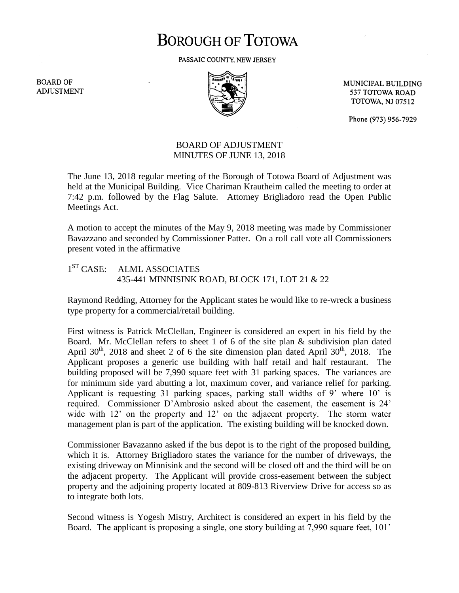## **BOROUGH OF TOTOWA**

PASSAIC COUNTY, NEW JERSEY

**BOARD OF ADJUSTMENT** 



MUNICIPAL BUILDING 537 TOTOWA ROAD **TOTOWA, NJ 07512** 

Phone (973) 956-7929

## BOARD OF ADJUSTMENT MINUTES OF JUNE 13, 2018

The June 13, 2018 regular meeting of the Borough of Totowa Board of Adjustment was held at the Municipal Building. Vice Chariman Krautheim called the meeting to order at 7:42 p.m. followed by the Flag Salute. Attorney Brigliadoro read the Open Public Meetings Act.

A motion to accept the minutes of the May 9, 2018 meeting was made by Commissioner Bavazzano and seconded by Commissioner Patter. On a roll call vote all Commissioners present voted in the affirmative

 $1^{ST}$  CASE: ALML ASSOCIATES 435-441 MINNISINK ROAD, BLOCK 171, LOT 21 & 22

Raymond Redding, Attorney for the Applicant states he would like to re-wreck a business type property for a commercial/retail building.

First witness is Patrick McClellan, Engineer is considered an expert in his field by the Board. Mr. McClellan refers to sheet 1 of 6 of the site plan & subdivision plan dated April 30<sup>th</sup>, 2018 and sheet 2 of 6 the site dimension plan dated April 30<sup>th</sup>, 2018. The Applicant proposes a generic use building with half retail and half restaurant. The building proposed will be 7,990 square feet with 31 parking spaces. The variances are for minimum side yard abutting a lot, maximum cover, and variance relief for parking. Applicant is requesting 31 parking spaces, parking stall widths of 9' where 10' is required. Commissioner D'Ambrosio asked about the easement, the easement is 24' wide with 12' on the property and 12' on the adjacent property. The storm water management plan is part of the application. The existing building will be knocked down.

Commissioner Bavazanno asked if the bus depot is to the right of the proposed building, which it is. Attorney Brigliadoro states the variance for the number of driveways, the existing driveway on Minnisink and the second will be closed off and the third will be on the adjacent property. The Applicant will provide cross-easement between the subject property and the adjoining property located at 809-813 Riverview Drive for access so as to integrate both lots.

Second witness is Yogesh Mistry, Architect is considered an expert in his field by the Board. The applicant is proposing a single, one story building at 7,990 square feet, 101'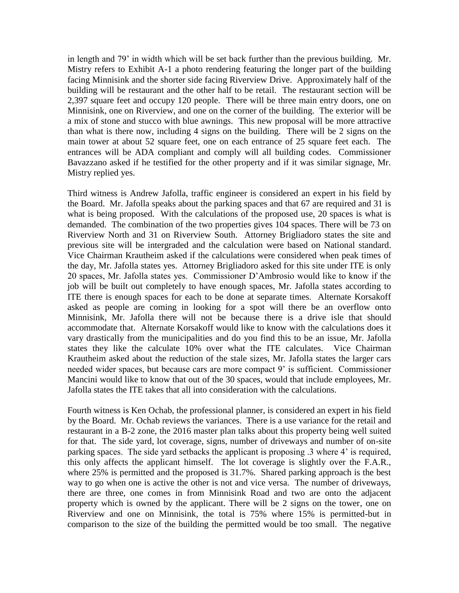in length and 79' in width which will be set back further than the previous building. Mr. Mistry refers to Exhibit A-1 a photo rendering featuring the longer part of the building facing Minnisink and the shorter side facing Riverview Drive. Approximately half of the building will be restaurant and the other half to be retail. The restaurant section will be 2,397 square feet and occupy 120 people. There will be three main entry doors, one on Minnisink, one on Riverview, and one on the corner of the building. The exterior will be a mix of stone and stucco with blue awnings. This new proposal will be more attractive than what is there now, including 4 signs on the building. There will be 2 signs on the main tower at about 52 square feet, one on each entrance of 25 square feet each. The entrances will be ADA compliant and comply will all building codes. Commissioner Bavazzano asked if he testified for the other property and if it was similar signage, Mr. Mistry replied yes.

Third witness is Andrew Jafolla, traffic engineer is considered an expert in his field by the Board. Mr. Jafolla speaks about the parking spaces and that 67 are required and 31 is what is being proposed. With the calculations of the proposed use, 20 spaces is what is demanded. The combination of the two properties gives 104 spaces. There will be 73 on Riverview North and 31 on Riverview South. Attorney Brigliadoro states the site and previous site will be intergraded and the calculation were based on National standard. Vice Chairman Krautheim asked if the calculations were considered when peak times of the day, Mr. Jafolla states yes. Attorney Brigliadoro asked for this site under ITE is only 20 spaces, Mr. Jafolla states yes. Commissioner D'Ambrosio would like to know if the job will be built out completely to have enough spaces, Mr. Jafolla states according to ITE there is enough spaces for each to be done at separate times. Alternate Korsakoff asked as people are coming in looking for a spot will there be an overflow onto Minnisink, Mr. Jafolla there will not be because there is a drive isle that should accommodate that. Alternate Korsakoff would like to know with the calculations does it vary drastically from the municipalities and do you find this to be an issue, Mr. Jafolla states they like the calculate 10% over what the ITE calculates. Vice Chairman Krautheim asked about the reduction of the stale sizes, Mr. Jafolla states the larger cars needed wider spaces, but because cars are more compact 9' is sufficient. Commissioner Mancini would like to know that out of the 30 spaces, would that include employees, Mr. Jafolla states the ITE takes that all into consideration with the calculations.

Fourth witness is Ken Ochab, the professional planner, is considered an expert in his field by the Board. Mr. Ochab reviews the variances. There is a use variance for the retail and restaurant in a B-2 zone, the 2016 master plan talks about this property being well suited for that. The side yard, lot coverage, signs, number of driveways and number of on-site parking spaces. The side yard setbacks the applicant is proposing .3 where 4' is required, this only affects the applicant himself. The lot coverage is slightly over the F.A.R., where 25% is permitted and the proposed is 31.7%. Shared parking approach is the best way to go when one is active the other is not and vice versa. The number of driveways, there are three, one comes in from Minnisink Road and two are onto the adjacent property which is owned by the applicant. There will be 2 signs on the tower, one on Riverview and one on Minnisink, the total is 75% where 15% is permitted-but in comparison to the size of the building the permitted would be too small. The negative